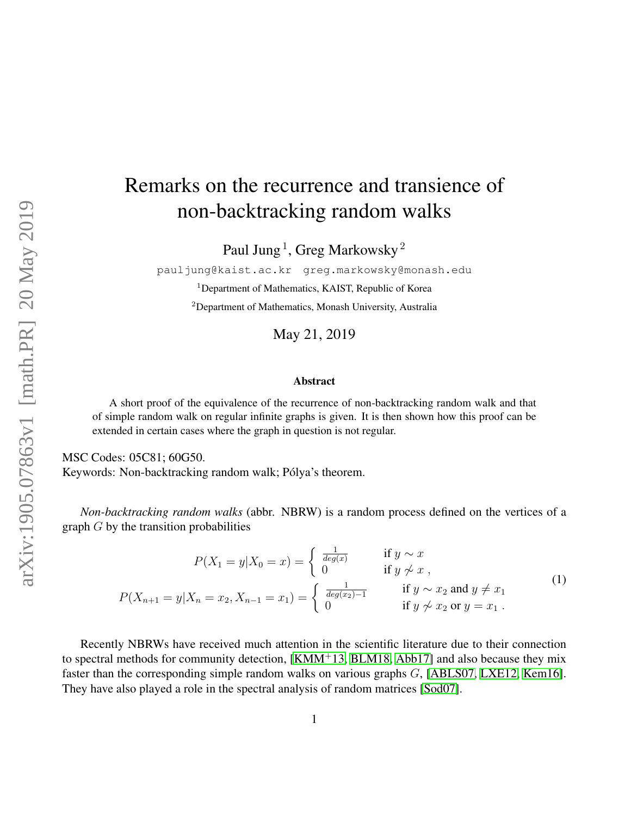# Remarks on the recurrence and transience of non-backtracking random walks

Paul Jung $^1$ , Greg Markowsky $^2$ 

pauljung@kaist.ac.kr greg.markowsky@monash.edu <sup>1</sup>Department of Mathematics, KAIST, Republic of Korea

<sup>2</sup>Department of Mathematics, Monash University, Australia

May 21, 2019

#### Abstract

A short proof of the equivalence of the recurrence of non-backtracking random walk and that of simple random walk on regular infinite graphs is given. It is then shown how this proof can be extended in certain cases where the graph in question is not regular.

MSC Codes: 05C81; 60G50. Keywords: Non-backtracking random walk; Pólya's theorem.

*Non-backtracking random walks* (abbr. NBRW) is a random process defined on the vertices of a graph  $G$  by the transition probabilities

$$
P(X_1 = y | X_0 = x) = \begin{cases} \frac{1}{deg(x)} & \text{if } y \sim x \\ 0 & \text{if } y \not\sim x, \end{cases}
$$
  

$$
P(X_{n+1} = y | X_n = x_2, X_{n-1} = x_1) = \begin{cases} \frac{1}{deg(x_2) - 1} & \text{if } y \sim x_2 \text{ and } y \neq x_1 \\ 0 & \text{if } y \not\sim x_2 \text{ or } y = x_1. \end{cases}
$$
 (1)

Recently NBRWs have received much attention in the scientific literature due to their connection to spectral methods for community detection, [\[KMM](#page-5-0)<sup>+</sup>13, [BLM18,](#page-4-0) [Abb17\]](#page-4-1) and also because they mix faster than the corresponding simple random walks on various graphs G, [\[ABLS07,](#page-4-2) [LXE12,](#page-5-1) [Kem16\]](#page-5-2). They have also played a role in the spectral analysis of random matrices [\[Sod07\]](#page-5-3).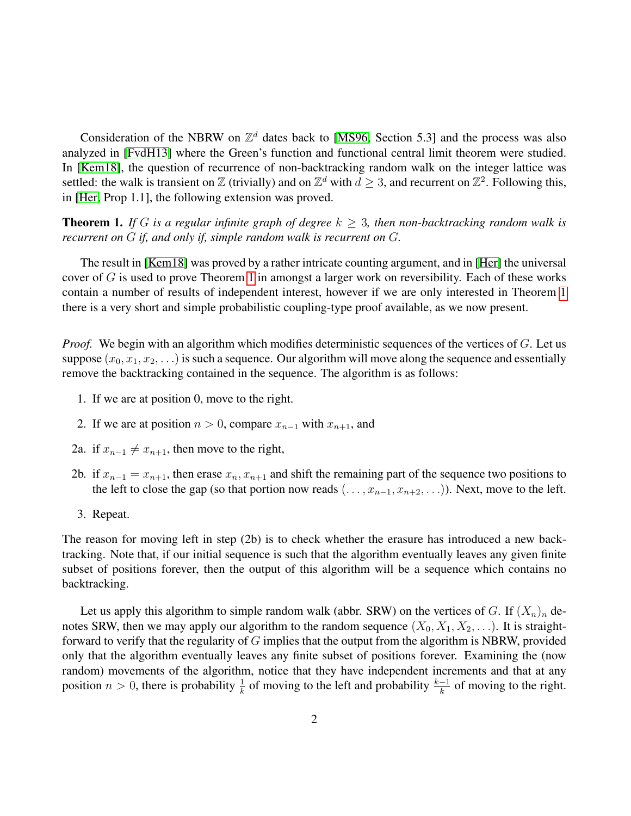Consideration of the NBRW on  $\mathbb{Z}^d$  dates back to [\[MS96,](#page-5-4) Section 5.3] and the process was also analyzed in [\[FvdH13\]](#page-5-5) where the Green's function and functional central limit theorem were studied. In [\[Kem18\]](#page-5-6), the question of recurrence of non-backtracking random walk on the integer lattice was settled: the walk is transient on Z (trivially) and on  $\mathbb{Z}^d$  with  $d \geq 3$ , and recurrent on  $\mathbb{Z}^2$ . Following this, in [\[Her,](#page-5-7) Prop 1.1], the following extension was proved.

<span id="page-1-0"></span>**Theorem 1.** *If* G is a regular infinite graph of degree  $k > 3$ , then non-backtracking random walk is *recurrent on* G *if, and only if, simple random walk is recurrent on* G*.*

The result in [\[Kem18\]](#page-5-6) was proved by a rather intricate counting argument, and in [\[Her\]](#page-5-7) the universal cover of  $G$  is used to prove Theorem [1](#page-1-0) in amongst a larger work on reversibility. Each of these works contain a number of results of independent interest, however if we are only interested in Theorem [1](#page-1-0) there is a very short and simple probabilistic coupling-type proof available, as we now present.

*Proof.* We begin with an algorithm which modifies deterministic sequences of the vertices of G. Let us suppose  $(x_0, x_1, x_2, ...)$  is such a sequence. Our algorithm will move along the sequence and essentially remove the backtracking contained in the sequence. The algorithm is as follows:

- 1. If we are at position 0, move to the right.
- 2. If we are at position  $n > 0$ , compare  $x_{n-1}$  with  $x_{n+1}$ , and
- 2a. if  $x_{n-1} \neq x_{n+1}$ , then move to the right,
- 2b. if  $x_{n-1} = x_{n+1}$ , then erase  $x_n, x_{n+1}$  and shift the remaining part of the sequence two positions to the left to close the gap (so that portion now reads  $(\ldots, x_{n-1}, x_{n+2}, \ldots)$ ). Next, move to the left.
- 3. Repeat.

The reason for moving left in step (2b) is to check whether the erasure has introduced a new backtracking. Note that, if our initial sequence is such that the algorithm eventually leaves any given finite subset of positions forever, then the output of this algorithm will be a sequence which contains no backtracking.

Let us apply this algorithm to simple random walk (abbr. SRW) on the vertices of G. If  $(X_n)_n$  denotes SRW, then we may apply our algorithm to the random sequence  $(X_0, X_1, X_2, \ldots)$ . It is straightforward to verify that the regularity of G implies that the output from the algorithm is NBRW, provided only that the algorithm eventually leaves any finite subset of positions forever. Examining the (now random) movements of the algorithm, notice that they have independent increments and that at any position  $n > 0$ , there is probability  $\frac{1}{k}$  of moving to the left and probability  $\frac{k-1}{k}$  of moving to the right.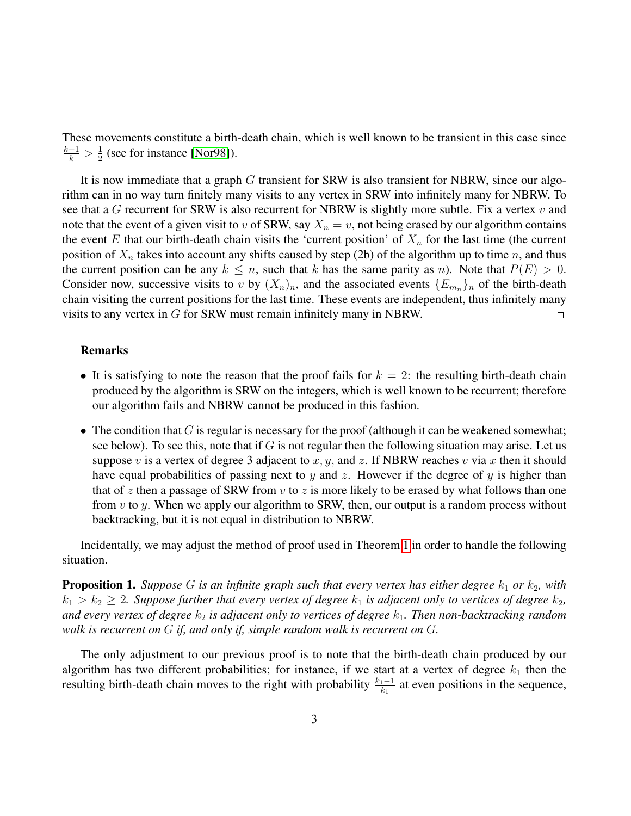These movements constitute a birth-death chain, which is well known to be transient in this case since  $\frac{k-1}{k} > \frac{1}{2}$  $\frac{1}{2}$  (see for instance [\[Nor98\]](#page-5-8)).

It is now immediate that a graph G transient for SRW is also transient for NBRW, since our algorithm can in no way turn finitely many visits to any vertex in SRW into infinitely many for NBRW. To see that a G recurrent for SRW is also recurrent for NBRW is slightly more subtle. Fix a vertex v and note that the event of a given visit to v of SRW, say  $X_n = v$ , not being erased by our algorithm contains the event E that our birth-death chain visits the 'current position' of  $X_n$  for the last time (the current position of  $X_n$  takes into account any shifts caused by step (2b) of the algorithm up to time n, and thus the current position can be any  $k \leq n$ , such that k has the same parity as n). Note that  $P(E) > 0$ . Consider now, successive visits to v by  $(X_n)_n$ , and the associated events  $\{E_{m_n}\}_n$  of the birth-death chain visiting the current positions for the last time. These events are independent, thus infinitely many visits to any vertex in G for SRW must remain infinitely many in NBRW.  $\Box$ 

#### Remarks

- It is satisfying to note the reason that the proof fails for  $k = 2$ : the resulting birth-death chain produced by the algorithm is SRW on the integers, which is well known to be recurrent; therefore our algorithm fails and NBRW cannot be produced in this fashion.
- The condition that  $G$  is regular is necessary for the proof (although it can be weakened somewhat; see below). To see this, note that if G is not regular then the following situation may arise. Let us suppose v is a vertex of degree 3 adjacent to x, y, and z. If NBRW reaches v via x then it should have equal probabilities of passing next to y and z. However if the degree of y is higher than that of z then a passage of SRW from v to z is more likely to be erased by what follows than one from  $v$  to  $y$ . When we apply our algorithm to SRW, then, our output is a random process without backtracking, but it is not equal in distribution to NBRW.

Incidentally, we may adjust the method of proof used in Theorem [1](#page-1-0) in order to handle the following situation.

<span id="page-2-0"></span>**Proposition 1.** *Suppose* G *is an infinite graph such that every vertex has either degree*  $k_1$  *or*  $k_2$ *, with*  $k_1 > k_2 \geq 2$ . Suppose further that every vertex of degree  $k_1$  is adjacent only to vertices of degree  $k_2$ , *and every vertex of degree*  $k_2$  *is adjacent only to vertices of degree*  $k_1$ *. Then non-backtracking random walk is recurrent on* G *if, and only if, simple random walk is recurrent on* G*.*

The only adjustment to our previous proof is to note that the birth-death chain produced by our algorithm has two different probabilities; for instance, if we start at a vertex of degree  $k_1$  then the resulting birth-death chain moves to the right with probability  $\frac{k_1-1}{k_1}$  at even positions in the sequence,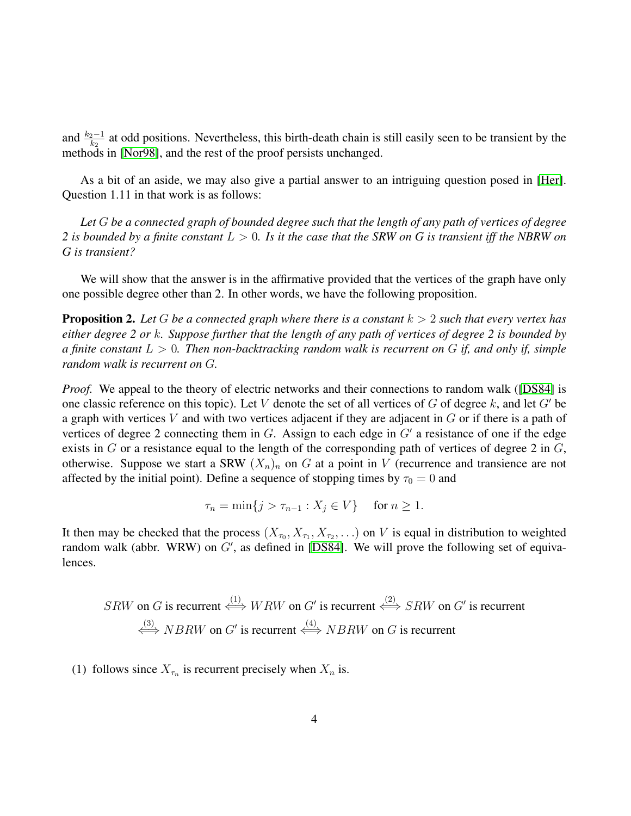and  $\frac{k_2-1}{k_2}$  at odd positions. Nevertheless, this birth-death chain is still easily seen to be transient by the methods in [\[Nor98\]](#page-5-8), and the rest of the proof persists unchanged.

As a bit of an aside, we may also give a partial answer to an intriguing question posed in [\[Her\]](#page-5-7). Question 1.11 in that work is as follows:

*Let* G *be a connected graph of bounded degree such that the length of any path of vertices of degree 2 is bounded by a finite constant* L > 0*. Is it the case that the SRW on G is transient iff the NBRW on G is transient?*

We will show that the answer is in the affirmative provided that the vertices of the graph have only one possible degree other than 2. In other words, we have the following proposition.

<span id="page-3-0"></span>Proposition 2. *Let* G *be a connected graph where there is a constant* k > 2 *such that every vertex has either degree 2 or* k*. Suppose further that the length of any path of vertices of degree 2 is bounded by a finite constant* L > 0*. Then non-backtracking random walk is recurrent on* G *if, and only if, simple random walk is recurrent on* G*.*

*Proof.* We appeal to the theory of electric networks and their connections to random walk ([\[DS84\]](#page-5-9) is one classic reference on this topic). Let V denote the set of all vertices of G of degree k, and let G' be a graph with vertices  $V$  and with two vertices adjacent if they are adjacent in  $G$  or if there is a path of vertices of degree 2 connecting them in  $G$ . Assign to each edge in  $G'$  a resistance of one if the edge exists in  $G$  or a resistance equal to the length of the corresponding path of vertices of degree 2 in  $G$ , otherwise. Suppose we start a SRW  $(X_n)_n$  on G at a point in V (recurrence and transience are not affected by the initial point). Define a sequence of stopping times by  $\tau_0 = 0$  and

$$
\tau_n = \min\{j > \tau_{n-1} : X_j \in V\} \quad \text{for } n \ge 1.
$$

It then may be checked that the process  $(X_{\tau_0}, X_{\tau_1}, X_{\tau_2}, ...)$  on V is equal in distribution to weighted random walk (abbr. WRW) on  $G'$ , as defined in [\[DS84\]](#page-5-9). We will prove the following set of equivalences.

$$
SRW
$$
 on *G* is recurrent  $\stackrel{(1)}{\iff} WRW$  on *G'* is recurrent  $\stackrel{(2)}{\iff} SRW$  on *G'* is recurrent  $\stackrel{(3)}{\iff} NBRW$  on *G'* is recurrent  $\stackrel{(4)}{\iff} NBRW$  on *G* is recurrent

(1) follows since  $X_{\tau_n}$  is recurrent precisely when  $X_n$  is.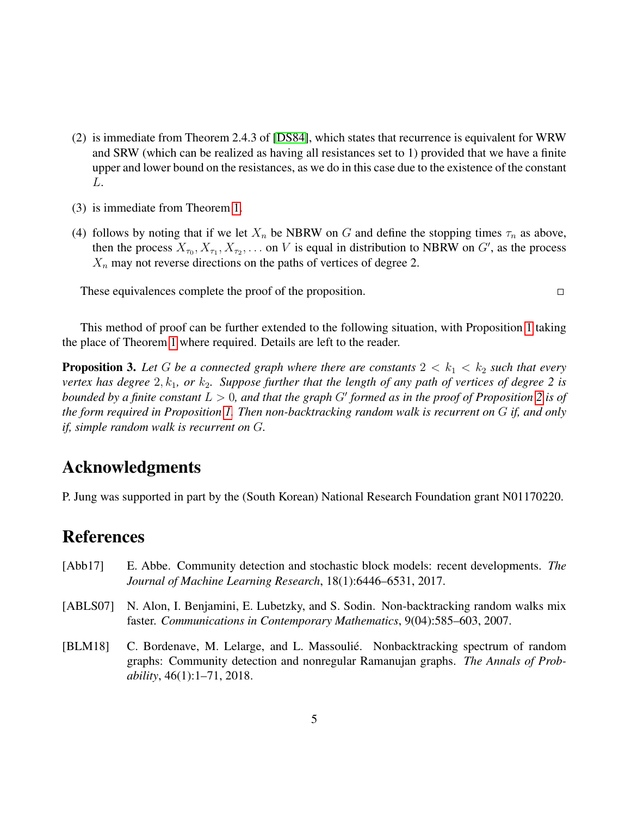- (2) is immediate from Theorem 2.4.3 of [\[DS84\]](#page-5-9), which states that recurrence is equivalent for WRW and SRW (which can be realized as having all resistances set to 1) provided that we have a finite upper and lower bound on the resistances, as we do in this case due to the existence of the constant L.
- (3) is immediate from Theorem [1.](#page-1-0)
- (4) follows by noting that if we let  $X_n$  be NBRW on G and define the stopping times  $\tau_n$  as above, then the process  $X_{\tau_0}, X_{\tau_1}, X_{\tau_2}, \ldots$  on V is equal in distribution to NBRW on  $G'$ , as the process  $X_n$  may not reverse directions on the paths of vertices of degree 2.

 $\Box$ 

These equivalences complete the proof of the proposition.

This method of proof can be further extended to the following situation, with Proposition [1](#page-2-0) taking the place of Theorem [1](#page-1-0) where required. Details are left to the reader.

**Proposition 3.** Let G be a connected graph where there are constants  $2 < k_1 < k_2$  such that every *vertex has degree*  $2, k_1$ , or  $k_2$ . Suppose further that the length of any path of vertices of degree 2 is *bounded by a finite constant*  $L > 0$ , and that the graph G' formed as in the proof of Proposition [2](#page-3-0) is of *the form required in Proposition [1.](#page-2-0) Then non-backtracking random walk is recurrent on* G *if, and only if, simple random walk is recurrent on* G*.*

### Acknowledgments

P. Jung was supported in part by the (South Korean) National Research Foundation grant N01170220.

## **References**

- <span id="page-4-1"></span>[Abb17] E. Abbe. Community detection and stochastic block models: recent developments. *The Journal of Machine Learning Research*, 18(1):6446–6531, 2017.
- <span id="page-4-2"></span>[ABLS07] N. Alon, I. Benjamini, E. Lubetzky, and S. Sodin. Non-backtracking random walks mix faster. *Communications in Contemporary Mathematics*, 9(04):585–603, 2007.
- <span id="page-4-0"></span>[BLM18] C. Bordenave, M. Lelarge, and L. Massoulié. Nonbacktracking spectrum of random graphs: Community detection and nonregular Ramanujan graphs. *The Annals of Probability*, 46(1):1–71, 2018.